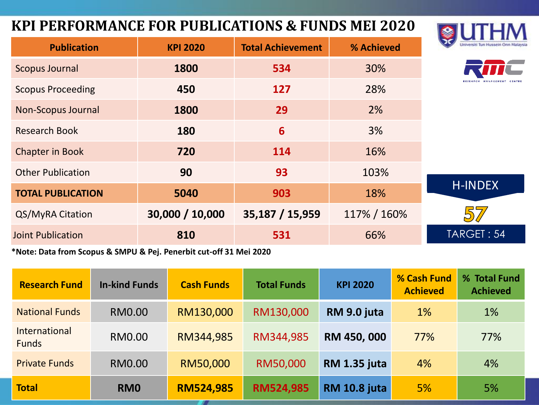#### **KPI PERFORMANCE FOR PUBLICATIONS & FUNDS MEI 2020**



| <b>Publication</b>                                                          | <b>KPI 2020</b> | <b>Total Achievement</b> | % Achieved  | Universiti Tun Hussein Onn Malay |
|-----------------------------------------------------------------------------|-----------------|--------------------------|-------------|----------------------------------|
| <b>Scopus Journal</b>                                                       | 1800            | 534                      | 30%         |                                  |
| <b>Scopus Proceeding</b>                                                    | 450             | 127                      | 28%         |                                  |
| <b>Non-Scopus Journal</b>                                                   | 1800            | 29                       | 2%          |                                  |
| <b>Research Book</b>                                                        | 180             | 6                        | 3%          |                                  |
| <b>Chapter in Book</b>                                                      | 720             | 114                      | 16%         |                                  |
| <b>Other Publication</b>                                                    | 90              | 93                       | 103%        |                                  |
| <b>TOTAL PUBLICATION</b>                                                    | 5040            | 903                      | 18%         | <b>H-INDEX</b>                   |
| QS/MyRA Citation                                                            | 30,000 / 10,000 | 35,187 / 15,959          | 117% / 160% |                                  |
| <b>Joint Publication</b>                                                    | 810             | 531                      | 66%         | TARGET: 54                       |
| $k$ blata: Data fuanc Caances O Chapit O Da! Danamalit act aff 24 has! 2020 |                 |                          |             |                                  |

**\*Note: Data from Scopus & SMPU & Pej. Penerbit cut-off 31 Mei 2020**

| <b>Research Fund</b>          | <b>In-kind Funds</b> | <b>Cash Funds</b> | <b>Total Funds</b> | <b>KPI 2020</b>     | % Cash Fund<br><b>Achieved</b> | % Total Fund<br><b>Achieved</b> |
|-------------------------------|----------------------|-------------------|--------------------|---------------------|--------------------------------|---------------------------------|
| <b>National Funds</b>         | <b>RM0.00</b>        | RM130,000         | RM130,000          | RM 9.0 juta         | 1%                             | 1%                              |
| International<br><b>Funds</b> | <b>RM0.00</b>        | RM344,985         | RM344,985          | RM 450, 000         | 77%                            | 77%                             |
| <b>Private Funds</b>          | <b>RM0.00</b>        | RM50,000          | RM50,000           | <b>RM 1.35 juta</b> | 4%                             | 4%                              |
| <b>Total</b>                  | <b>RMO</b>           | <b>RM524,985</b>  | <b>RM524,985</b>   | <b>RM 10.8 juta</b> | 5%                             | 5%                              |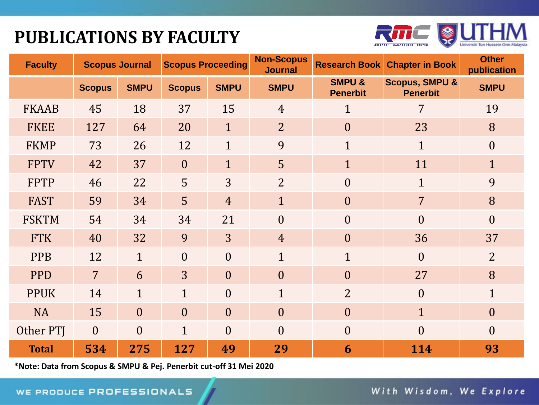### **PUBLICATIONS BY FACULTY**



| <b>Faculty</b> | <b>Scopus Journal</b> |                | <b>Scopus Proceeding</b> |                | <b>Non-Scopus</b><br><b>Journal</b> | <b>Research Book</b>                 | <b>Chapter in Book</b>                       | <b>Other</b><br>publication |
|----------------|-----------------------|----------------|--------------------------|----------------|-------------------------------------|--------------------------------------|----------------------------------------------|-----------------------------|
|                | <b>Scopus</b>         | <b>SMPU</b>    | <b>Scopus</b>            | <b>SMPU</b>    | <b>SMPU</b>                         | <b>SMPU &amp;</b><br><b>Penerbit</b> | <b>Scopus, SMPU &amp;</b><br><b>Penerbit</b> | <b>SMPU</b>                 |
| <b>FKAAB</b>   | 45                    | 18             | 37                       | 15             | $\overline{4}$                      | $\mathbf{1}$                         | $\overline{7}$                               | 19                          |
| <b>FKEE</b>    | 127                   | 64             | 20                       | $\mathbf{1}$   | $\overline{2}$                      | $\overline{0}$                       | 23                                           | 8                           |
| <b>FKMP</b>    | 73                    | 26             | 12                       | $\mathbf{1}$   | 9                                   | $\mathbf{1}$                         | $\mathbf{1}$                                 | $\mathbf{0}$                |
| <b>FPTV</b>    | 42                    | 37             | $\theta$                 | $\mathbf{1}$   | 5                                   | $\mathbf{1}$                         | 11                                           | $\mathbf{1}$                |
| <b>FPTP</b>    | 46                    | 22             | 5                        | 3              | $\overline{2}$                      | $\overline{0}$                       | $\mathbf{1}$                                 | 9                           |
| <b>FAST</b>    | 59                    | 34             | $\overline{5}$           | $\overline{4}$ | $\mathbf{1}$                        | $\overline{0}$                       | $\overline{7}$                               | 8                           |
| <b>FSKTM</b>   | 54                    | 34             | 34                       | 21             | $\theta$                            | $\theta$                             | $\theta$                                     | $\overline{0}$              |
| <b>FTK</b>     | 40                    | 32             | 9                        | $\overline{3}$ | $\overline{4}$                      | $\overline{0}$                       | 36                                           | 37                          |
| <b>PPB</b>     | 12                    | $\mathbf{1}$   | $\theta$                 | $\theta$       | $\mathbf{1}$                        | $\mathbf{1}$                         | $\theta$                                     | $\overline{2}$              |
| <b>PPD</b>     | $7\overline{ }$       | 6              | $\overline{3}$           | $\theta$       | $\overline{0}$                      | $\theta$                             | 27                                           | 8                           |
| <b>PPUK</b>    | 14                    | $\mathbf{1}$   | 1                        | $\overline{0}$ | $\mathbf{1}$                        | $\overline{2}$                       | $\overline{0}$                               | $\mathbf{1}$                |
| <b>NA</b>      | 15                    | $\overline{0}$ | $\overline{0}$           | $\overline{0}$ | $\overline{0}$                      | $\theta$                             | $\mathbf{1}$                                 | $\boldsymbol{0}$            |
| Other PTJ      | $\boldsymbol{0}$      | $\overline{0}$ | $\mathbf{1}$             | $\overline{0}$ | $\overline{0}$                      | $\overline{0}$                       | $\overline{0}$                               | $\overline{0}$              |
| <b>Total</b>   | 534                   | 275            | 127                      | 49             | 29                                  | 6                                    | 114                                          | 93                          |

**\*Note: Data from Scopus & SMPU & Pej. Penerbit cut-off 31 Mei 2020**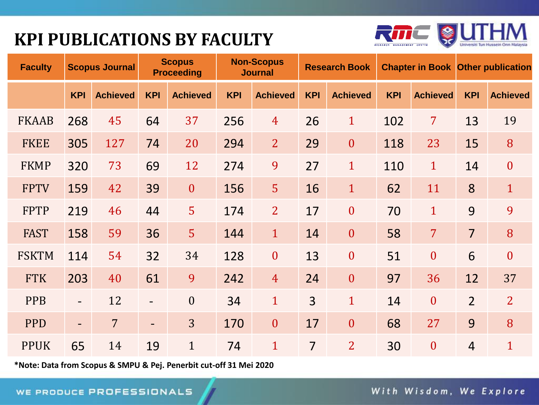## **KPI PUBLICATIONS BY FACULTY**



| <b>Faculty</b> |                          | <b>Scopus Journal</b> |                          | <b>Scopus</b><br><b>Proceeding</b> |            | <b>Non-Scopus</b><br><b>Journal</b> |                | <b>Research Book</b> |            | <b>Chapter in Book Other publication</b> |                |                  |
|----------------|--------------------------|-----------------------|--------------------------|------------------------------------|------------|-------------------------------------|----------------|----------------------|------------|------------------------------------------|----------------|------------------|
|                | <b>KPI</b>               | <b>Achieved</b>       | <b>KPI</b>               | <b>Achieved</b>                    | <b>KPI</b> | <b>Achieved</b>                     | <b>KPI</b>     | <b>Achieved</b>      | <b>KPI</b> | <b>Achieved</b>                          | <b>KPI</b>     | <b>Achieved</b>  |
| <b>FKAAB</b>   | 268                      | 45                    | 64                       | 37                                 | 256        | $\overline{4}$                      | 26             | $\mathbf{1}$         | 102        | $\overline{7}$                           | 13             | 19               |
| <b>FKEE</b>    | 305                      | 127                   | 74                       | 20                                 | 294        | $\overline{2}$                      | 29             | $\boldsymbol{0}$     | 118        | 23                                       | 15             | 8                |
| <b>FKMP</b>    | 320                      | 73                    | 69                       | 12                                 | 274        | 9                                   | 27             | $\mathbf{1}$         | 110        | $\mathbf{1}$                             | 14             | $\boldsymbol{0}$ |
| <b>FPTV</b>    | 159                      | 42                    | 39                       | $\mathbf{0}$                       | 156        | 5 <sup>1</sup>                      | 16             | $\mathbf{1}$         | 62         | 11                                       | 8              | $\mathbf{1}$     |
| <b>FPTP</b>    | 219                      | 46                    | 44                       | 5                                  | 174        | $\overline{2}$                      | 17             | $\mathbf{0}$         | 70         | $\mathbf{1}$                             | 9              | 9                |
| <b>FAST</b>    | 158                      | 59                    | 36                       | 5 <sup>1</sup>                     | 144        | $\mathbf{1}$                        | 14             | $\theta$             | 58         | $\overline{7}$                           | $\overline{7}$ | 8                |
| <b>FSKTM</b>   | 114                      | 54                    | 32                       | 34                                 | 128        | $\boldsymbol{0}$                    | 13             | $\boldsymbol{0}$     | 51         | $\boldsymbol{0}$                         | 6              | $\boldsymbol{0}$ |
| <b>FTK</b>     | 203                      | 40                    | 61                       | 9                                  | 242        | $\overline{4}$                      | 24             | $\mathbf{0}$         | 97         | 36                                       | 12             | 37               |
| <b>PPB</b>     | $\overline{\phantom{0}}$ | 12                    | $\overline{\phantom{a}}$ | $\mathbf{0}$                       | 34         | $\mathbf{1}$                        | $\overline{3}$ | $\mathbf{1}$         | 14         | $\overline{0}$                           | $\overline{2}$ | $\overline{2}$   |
| <b>PPD</b>     | $\overline{\phantom{0}}$ | 7                     | $\overline{\phantom{a}}$ | 3                                  | 170        | $\boldsymbol{0}$                    | 17             | $\theta$             | 68         | 27                                       | 9              | 8                |
| <b>PPUK</b>    | 65                       | 14                    | 19                       | $\mathbf{1}$                       | 74         | $\mathbf{1}$                        | $\overline{7}$ | $\overline{2}$       | 30         | $\boldsymbol{0}$                         | $\overline{4}$ | $\mathbf{1}$     |

**\*Note: Data from Scopus & SMPU & Pej. Penerbit cut-off 31 Mei 2020**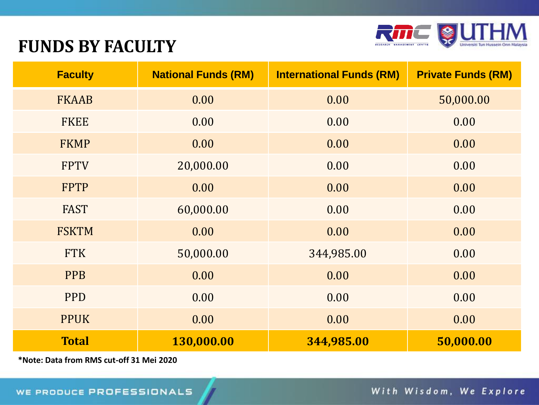

#### **FUNDS BY FACULTY**

| <b>Faculty</b> | <b>National Funds (RM)</b> | <b>International Funds (RM)</b> | <b>Private Funds (RM)</b> |
|----------------|----------------------------|---------------------------------|---------------------------|
| <b>FKAAB</b>   | 0.00                       | 0.00                            | 50,000.00                 |
| <b>FKEE</b>    | 0.00                       | 0.00                            | 0.00                      |
| <b>FKMP</b>    | 0.00                       | 0.00                            | 0.00                      |
| <b>FPTV</b>    | 20,000.00                  | 0.00                            | 0.00                      |
| <b>FPTP</b>    | 0.00                       | 0.00                            | 0.00                      |
| <b>FAST</b>    | 60,000.00                  | 0.00                            | 0.00                      |
| <b>FSKTM</b>   | 0.00                       | 0.00                            | 0.00                      |
| <b>FTK</b>     | 50,000.00                  | 344,985.00                      | 0.00                      |
| <b>PPB</b>     | 0.00                       | 0.00                            | 0.00                      |
| <b>PPD</b>     | 0.00                       | 0.00                            | 0.00                      |
| <b>PPUK</b>    | 0.00                       | 0.00                            | 0.00                      |
| <b>Total</b>   | 130,000.00                 | 344,985.00                      | 50,000.00                 |

**\*Note: Data from RMS cut-off 31 Mei 2020**

With Wisdom, We Explore